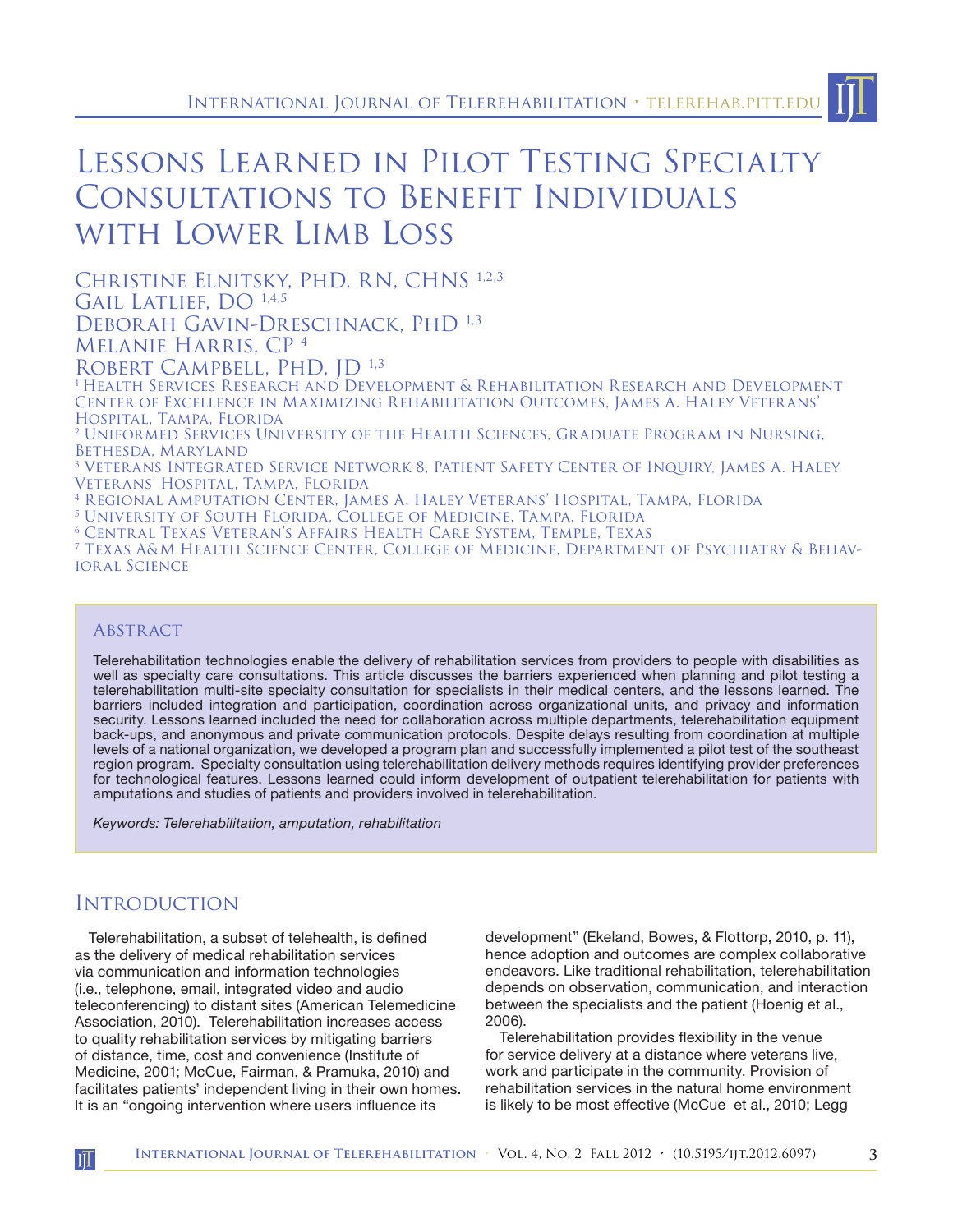# Lessons Learned in Pilot Testing Specialty Consultations to Benefit Individuals with Lower Limb Loss

Christine Elnitsky, PhD, RN, CHNS 1,2,3 GAIL LATLIEF, DO 1,4,5 DEBORAH GAVIN-DRESCHNACK, PHD 1,3

Melanie Harris, CP 4

ROBERT CAMPBELL, PHD, ID<sup>1,3</sup>

1 Health Services Research and Development & Rehabilitation Research and Development Center of Excellence in Maximizing Rehabilitation Outcomes, James A. Haley Veterans' Hospital, Tampa, Florida

2 Uniformed Services University of the Health Sciences, Graduate Program in Nursing, Bethesda, Maryland

<sup>3</sup> Veterans Integrated Service Network 8, Patient Safety Center of Inquiry, James A. Haley Veterans' Hospital, Tampa, Florida

4 Regional Amputation Center, James A. Haley Veterans' Hospital, Tampa, Florida

5 University of South Florida, College of Medicine, Tampa, Florida

6 Central Texas Veteran's Affairs Health Care System, Temple, Texas

7 Texas A&M Health Science Center, College of Medicine, Department of Psychiatry & Behavioral Science

### **ABSTRACT**

Telerehabilitation technologies enable the delivery of rehabilitation services from providers to people with disabilities as well as specialty care consultations. This article discusses the barriers experienced when planning and pilot testing a telerehabilitation multi-site specialty consultation for specialists in their medical centers, and the lessons learned. The barriers included integration and participation, coordination across organizational units, and privacy and information security. Lessons learned included the need for collaboration across multiple departments, telerehabilitation equipment back-ups, and anonymous and private communication protocols. Despite delays resulting from coordination at multiple levels of a national organization, we developed a program plan and successfully implemented a pilot test of the southeast region program. Specialty consultation using telerehabilitation delivery methods requires identifying provider preferences for technological features. Lessons learned could inform development of outpatient telerehabilitation for patients with amputations and studies of patients and providers involved in telerehabilitation.

*Keywords: Telerehabilitation, amputation, rehabilitation*

# Introduction

II

Telerehabilitation, a subset of telehealth, is defined as the delivery of medical rehabilitation services via communication and information technologies (i.e., telephone, email, integrated video and audio teleconferencing) to distant sites (American Telemedicine Association, 2010). Telerehabilitation increases access to quality rehabilitation services by mitigating barriers of distance, time, cost and convenience (Institute of Medicine, 2001; McCue, Fairman, & Pramuka, 2010) and facilitates patients' independent living in their own homes. It is an "ongoing intervention where users influence its

development" (Ekeland, Bowes, & Flottorp, 2010, p. 11), hence adoption and outcomes are complex collaborative endeavors. Like traditional rehabilitation, telerehabilitation depends on observation, communication, and interaction between the specialists and the patient (Hoenig et al., 2006).

Telerehabilitation provides flexibility in the venue for service delivery at a distance where veterans live, work and participate in the community. Provision of rehabilitation services in the natural home environment is likely to be most effective (McCue et al., 2010; Legg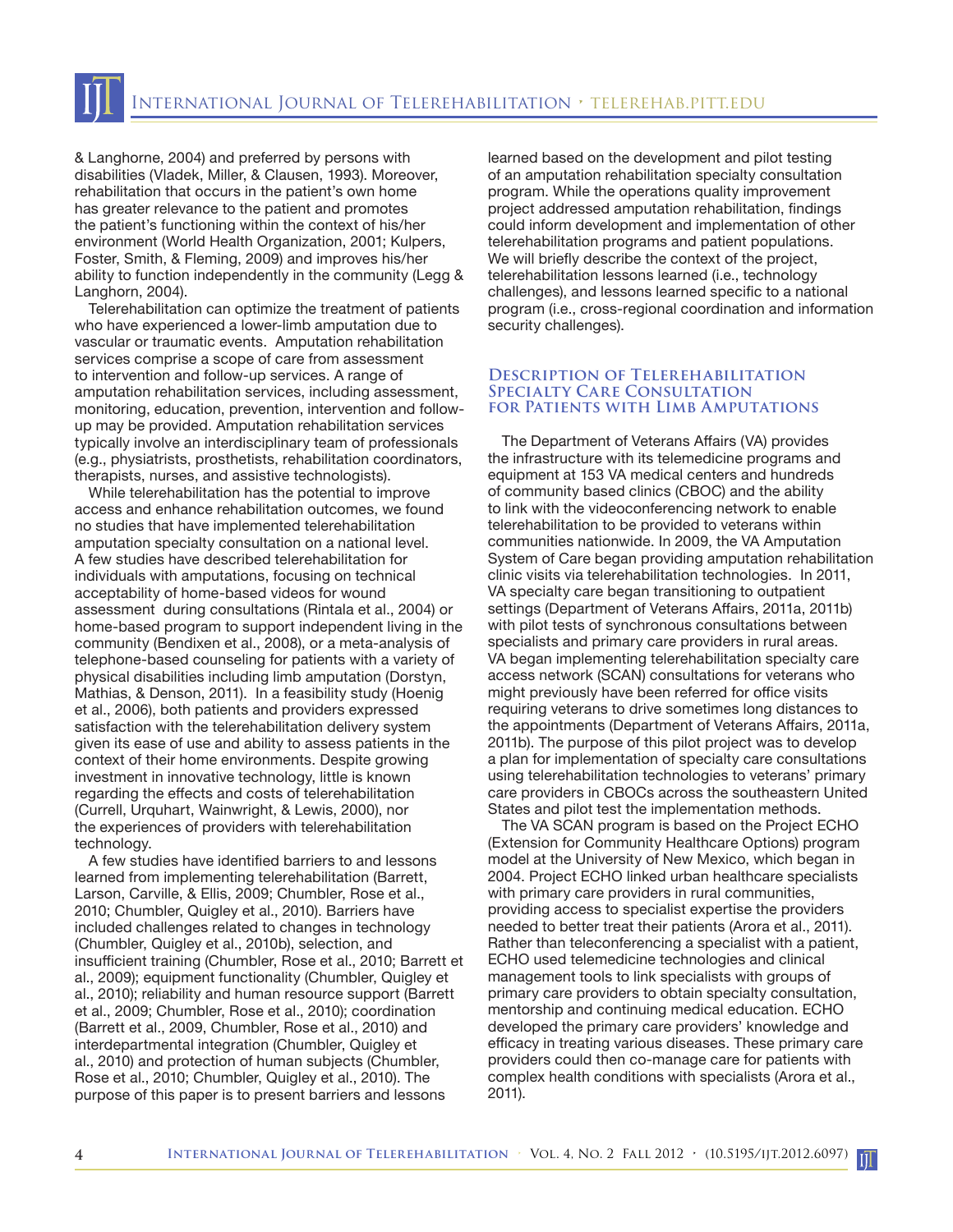& Langhorne, 2004) and preferred by persons with disabilities (Vladek, Miller, & Clausen, 1993). Moreover, rehabilitation that occurs in the patient's own home has greater relevance to the patient and promotes the patient's functioning within the context of his/her environment (World Health Organization, 2001; Kulpers, Foster, Smith, & Fleming, 2009) and improves his/her ability to function independently in the community (Legg & Langhorn, 2004).

Telerehabilitation can optimize the treatment of patients who have experienced a lower-limb amputation due to vascular or traumatic events. Amputation rehabilitation services comprise a scope of care from assessment to intervention and follow-up services. A range of amputation rehabilitation services, including assessment, monitoring, education, prevention, intervention and followup may be provided. Amputation rehabilitation services typically involve an interdisciplinary team of professionals (e.g., physiatrists, prosthetists, rehabilitation coordinators, therapists, nurses, and assistive technologists).

While telerehabilitation has the potential to improve access and enhance rehabilitation outcomes, we found no studies that have implemented telerehabilitation amputation specialty consultation on a national level. A few studies have described telerehabilitation for individuals with amputations, focusing on technical acceptability of home-based videos for wound assessment during consultations (Rintala et al., 2004) or home-based program to support independent living in the community (Bendixen et al., 2008), or a meta-analysis of telephone-based counseling for patients with a variety of physical disabilities including limb amputation (Dorstyn, Mathias, & Denson, 2011). In a feasibility study (Hoenig et al., 2006), both patients and providers expressed satisfaction with the telerehabilitation delivery system given its ease of use and ability to assess patients in the context of their home environments. Despite growing investment in innovative technology, little is known regarding the effects and costs of telerehabilitation (Currell, Urquhart, Wainwright, & Lewis, 2000), nor the experiences of providers with telerehabilitation technology.

A few studies have identified barriers to and lessons learned from implementing telerehabilitation (Barrett, Larson, Carville, & Ellis, 2009; Chumbler, Rose et al., 2010; Chumbler, Quigley et al., 2010). Barriers have included challenges related to changes in technology (Chumbler, Quigley et al., 2010b), selection, and insufficient training (Chumbler, Rose et al., 2010; Barrett et al., 2009); equipment functionality (Chumbler, Quigley et al., 2010); reliability and human resource support (Barrett et al., 2009; Chumbler, Rose et al., 2010); coordination (Barrett et al., 2009, Chumbler, Rose et al., 2010) and interdepartmental integration (Chumbler, Quigley et al., 2010) and protection of human subjects (Chumbler, Rose et al., 2010; Chumbler, Quigley et al., 2010). The purpose of this paper is to present barriers and lessons

learned based on the development and pilot testing of an amputation rehabilitation specialty consultation program. While the operations quality improvement project addressed amputation rehabilitation, findings could inform development and implementation of other telerehabilitation programs and patient populations. We will briefly describe the context of the project, telerehabilitation lessons learned (i.e., technology challenges), and lessons learned specific to a national program (i.e., cross-regional coordination and information security challenges).

#### **Description of Telerehabilitation Specialty Care Consultation for Patients with Limb Amputations**

The Department of Veterans Affairs (VA) provides the infrastructure with its telemedicine programs and equipment at 153 VA medical centers and hundreds of community based clinics (CBOC) and the ability to link with the videoconferencing network to enable telerehabilitation to be provided to veterans within communities nationwide. In 2009, the VA Amputation System of Care began providing amputation rehabilitation clinic visits via telerehabilitation technologies. In 2011, VA specialty care began transitioning to outpatient settings (Department of Veterans Affairs, 2011a, 2011b) with pilot tests of synchronous consultations between specialists and primary care providers in rural areas. VA began implementing telerehabilitation specialty care access network (SCAN) consultations for veterans who might previously have been referred for office visits requiring veterans to drive sometimes long distances to the appointments (Department of Veterans Affairs, 2011a, 2011b). The purpose of this pilot project was to develop a plan for implementation of specialty care consultations using telerehabilitation technologies to veterans' primary care providers in CBOCs across the southeastern United States and pilot test the implementation methods.

The VA SCAN program is based on the Project ECHO (Extension for Community Healthcare Options) program model at the University of New Mexico, which began in 2004. Project ECHO linked urban healthcare specialists with primary care providers in rural communities, providing access to specialist expertise the providers needed to better treat their patients (Arora et al., 2011). Rather than teleconferencing a specialist with a patient, ECHO used telemedicine technologies and clinical management tools to link specialists with groups of primary care providers to obtain specialty consultation, mentorship and continuing medical education. ECHO developed the primary care providers' knowledge and efficacy in treating various diseases. These primary care providers could then co-manage care for patients with complex health conditions with specialists (Arora et al., 2011).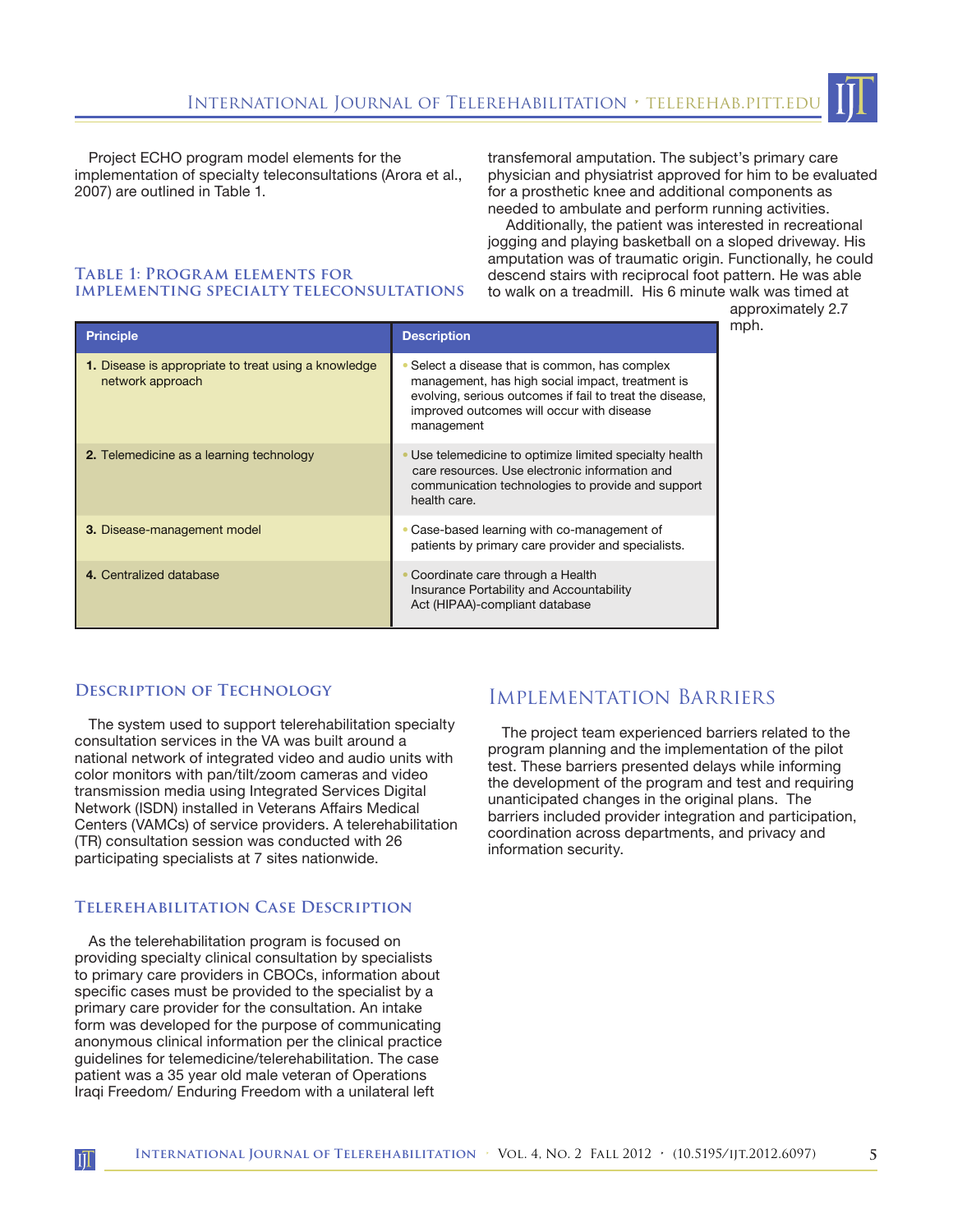

Project ECHO program model elements for the implementation of specialty teleconsultations (Arora et al., 2007) are outlined in Table 1.

transfemoral amputation. The subject's primary care physician and physiatrist approved for him to be evaluated for a prosthetic knee and additional components as needed to ambulate and perform running activities.

 Additionally, the patient was interested in recreational jogging and playing basketball on a sloped driveway. His amputation was of traumatic origin. Functionally, he could descend stairs with reciprocal foot pattern. He was able to walk on a treadmill. His 6 minute walk was timed at

## **Table 1: Program elements for implementing specialty teleconsultations**

approximately 2.7 mph.

| <b>Principle</b>                                                         | <b>Description</b>                                                                                                                                                                                                      |
|--------------------------------------------------------------------------|-------------------------------------------------------------------------------------------------------------------------------------------------------------------------------------------------------------------------|
| 1. Disease is appropriate to treat using a knowledge<br>network approach | Select a disease that is common, has complex<br>management, has high social impact, treatment is<br>evolving, serious outcomes if fail to treat the disease,<br>improved outcomes will occur with disease<br>management |
| <b>2.</b> Telemedicine as a learning technology                          | Use telemedicine to optimize limited specialty health<br>care resources. Use electronic information and<br>communication technologies to provide and support<br>health care.                                            |
| 3. Disease-management model                                              | Case-based learning with co-management of<br>patients by primary care provider and specialists.                                                                                                                         |
| 4. Centralized database                                                  | Coordinate care through a Health<br>Insurance Portability and Accountability<br>Act (HIPAA)-compliant database                                                                                                          |

### **Description of Technology**

The system used to support telerehabilitation specialty consultation services in the VA was built around a national network of integrated video and audio units with color monitors with pan/tilt/zoom cameras and video transmission media using Integrated Services Digital Network (ISDN) installed in Veterans Affairs Medical Centers (VAMCs) of service providers. A telerehabilitation (TR) consultation session was conducted with 26 participating specialists at 7 sites nationwide.

#### **Telerehabilitation Case Description**

As the telerehabilitation program is focused on providing specialty clinical consultation by specialists to primary care providers in CBOCs, information about specific cases must be provided to the specialist by a primary care provider for the consultation. An intake form was developed for the purpose of communicating anonymous clinical information per the clinical practice guidelines for telemedicine/telerehabilitation. The case patient was a 35 year old male veteran of Operations Iraqi Freedom/ Enduring Freedom with a unilateral left

 $\prod$ 

# Implementation Barriers

The project team experienced barriers related to the program planning and the implementation of the pilot test. These barriers presented delays while informing the development of the program and test and requiring unanticipated changes in the original plans. The barriers included provider integration and participation, coordination across departments, and privacy and information security.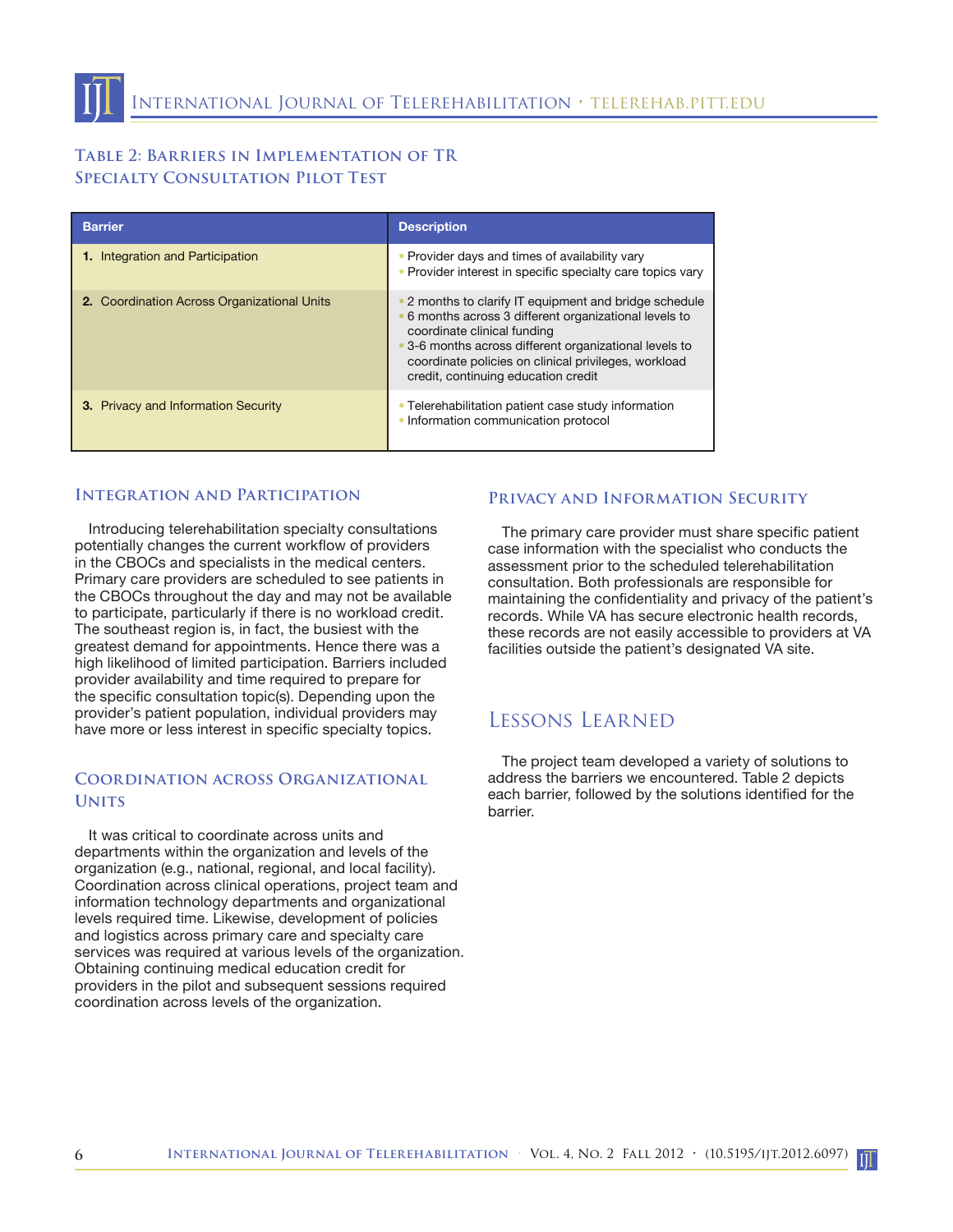## **Table 2: Barriers in Implementation of TR Specialty Consultation Pilot Test**

| <b>Barrier</b>                              | <b>Description</b>                                                                                                                                                                                                                                                                                     |
|---------------------------------------------|--------------------------------------------------------------------------------------------------------------------------------------------------------------------------------------------------------------------------------------------------------------------------------------------------------|
| <b>1.</b> Integration and Participation     | • Provider days and times of availability vary<br>• Provider interest in specific specialty care topics vary                                                                                                                                                                                           |
| 2. Coordination Across Organizational Units | • 2 months to clarify IT equipment and bridge schedule<br>6 months across 3 different organizational levels to<br>coordinate clinical funding<br>• 3-6 months across different organizational levels to<br>coordinate policies on clinical privileges, workload<br>credit, continuing education credit |
| <b>3.</b> Privacy and Information Security  | • Telerehabilitation patient case study information<br>Information communication protocol                                                                                                                                                                                                              |

#### **Integration and Participation**

Introducing telerehabilitation specialty consultations potentially changes the current workflow of providers in the CBOCs and specialists in the medical centers. Primary care providers are scheduled to see patients in the CBOCs throughout the day and may not be available to participate, particularly if there is no workload credit. The southeast region is, in fact, the busiest with the greatest demand for appointments. Hence there was a high likelihood of limited participation. Barriers included provider availability and time required to prepare for the specific consultation topic(s). Depending upon the provider's patient population, individual providers may have more or less interest in specific specialty topics.

## **Coordination across Organizational Units**

It was critical to coordinate across units and departments within the organization and levels of the organization (e.g., national, regional, and local facility). Coordination across clinical operations, project team and information technology departments and organizational levels required time. Likewise, development of policies and logistics across primary care and specialty care services was required at various levels of the organization. Obtaining continuing medical education credit for providers in the pilot and subsequent sessions required coordination across levels of the organization.

#### **Privacy and Information Security**

The primary care provider must share specific patient case information with the specialist who conducts the assessment prior to the scheduled telerehabilitation consultation. Both professionals are responsible for maintaining the confidentiality and privacy of the patient's records. While VA has secure electronic health records, these records are not easily accessible to providers at VA facilities outside the patient's designated VA site.

## Lessons Learned

The project team developed a variety of solutions to address the barriers we encountered. Table 2 depicts each barrier, followed by the solutions identified for the barrier.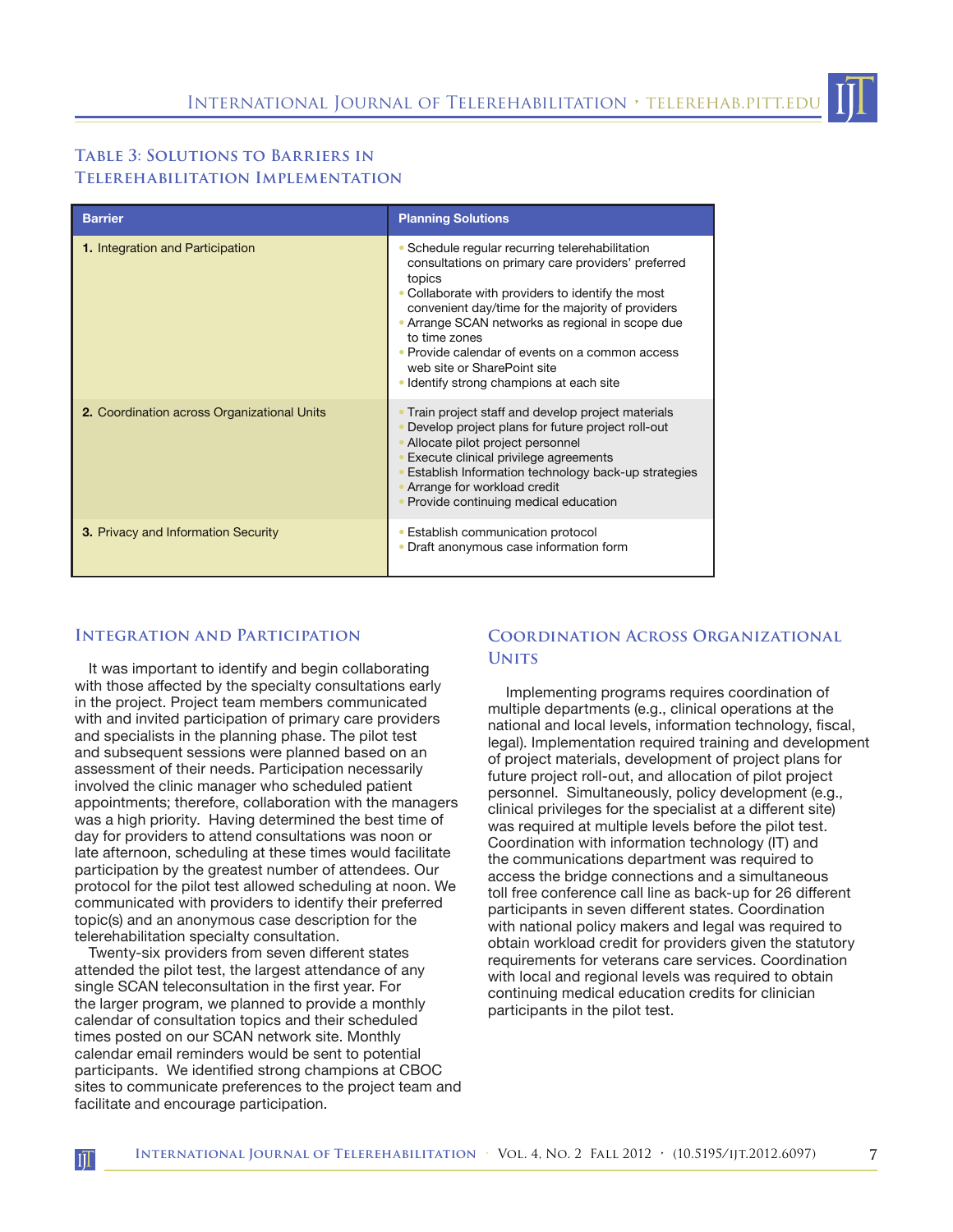## **Table 3: Solutions to Barriers in Telerehabilitation Implementation**

| <b>Barrier</b>                              | <b>Planning Solutions</b>                                                                                                                                                                                                                                                                                                                                                                                                    |
|---------------------------------------------|------------------------------------------------------------------------------------------------------------------------------------------------------------------------------------------------------------------------------------------------------------------------------------------------------------------------------------------------------------------------------------------------------------------------------|
| <b>1.</b> Integration and Participation     | • Schedule regular recurring telerehabilitation<br>consultations on primary care providers' preferred<br>topics<br>• Collaborate with providers to identify the most<br>convenient day/time for the majority of providers<br>• Arrange SCAN networks as regional in scope due<br>to time zones<br>• Provide calendar of events on a common access<br>web site or SharePoint site<br>• Identify strong champions at each site |
| 2. Coordination across Organizational Units | Train project staff and develop project materials<br>Develop project plans for future project roll-out<br>Allocate pilot project personnel<br>Execute clinical privilege agreements<br>Establish Information technology back-up strategies<br>Arrange for workload credit<br>Provide continuing medical education                                                                                                            |
| <b>3.</b> Privacy and Information Security  | • Establish communication protocol<br>• Draft anonymous case information form                                                                                                                                                                                                                                                                                                                                                |

#### **Integration and Participation**

It was important to identify and begin collaborating with those affected by the specialty consultations early in the project. Project team members communicated with and invited participation of primary care providers and specialists in the planning phase. The pilot test and subsequent sessions were planned based on an assessment of their needs. Participation necessarily involved the clinic manager who scheduled patient appointments; therefore, collaboration with the managers was a high priority. Having determined the best time of day for providers to attend consultations was noon or late afternoon, scheduling at these times would facilitate participation by the greatest number of attendees. Our protocol for the pilot test allowed scheduling at noon. We communicated with providers to identify their preferred topic(s) and an anonymous case description for the telerehabilitation specialty consultation.

Twenty-six providers from seven different states attended the pilot test, the largest attendance of any single SCAN teleconsultation in the first year. For the larger program, we planned to provide a monthly calendar of consultation topics and their scheduled times posted on our SCAN network site. Monthly calendar email reminders would be sent to potential participants. We identified strong champions at CBOC sites to communicate preferences to the project team and facilitate and encourage participation.

 $\prod$ 

### **Coordination Across Organizational Units**

 Implementing programs requires coordination of multiple departments (e.g., clinical operations at the national and local levels, information technology, fiscal, legal). Implementation required training and development of project materials, development of project plans for future project roll-out, and allocation of pilot project personnel. Simultaneously, policy development (e.g., clinical privileges for the specialist at a different site) was required at multiple levels before the pilot test. Coordination with information technology (IT) and the communications department was required to access the bridge connections and a simultaneous toll free conference call line as back-up for 26 different participants in seven different states. Coordination with national policy makers and legal was required to obtain workload credit for providers given the statutory requirements for veterans care services. Coordination with local and regional levels was required to obtain continuing medical education credits for clinician participants in the pilot test.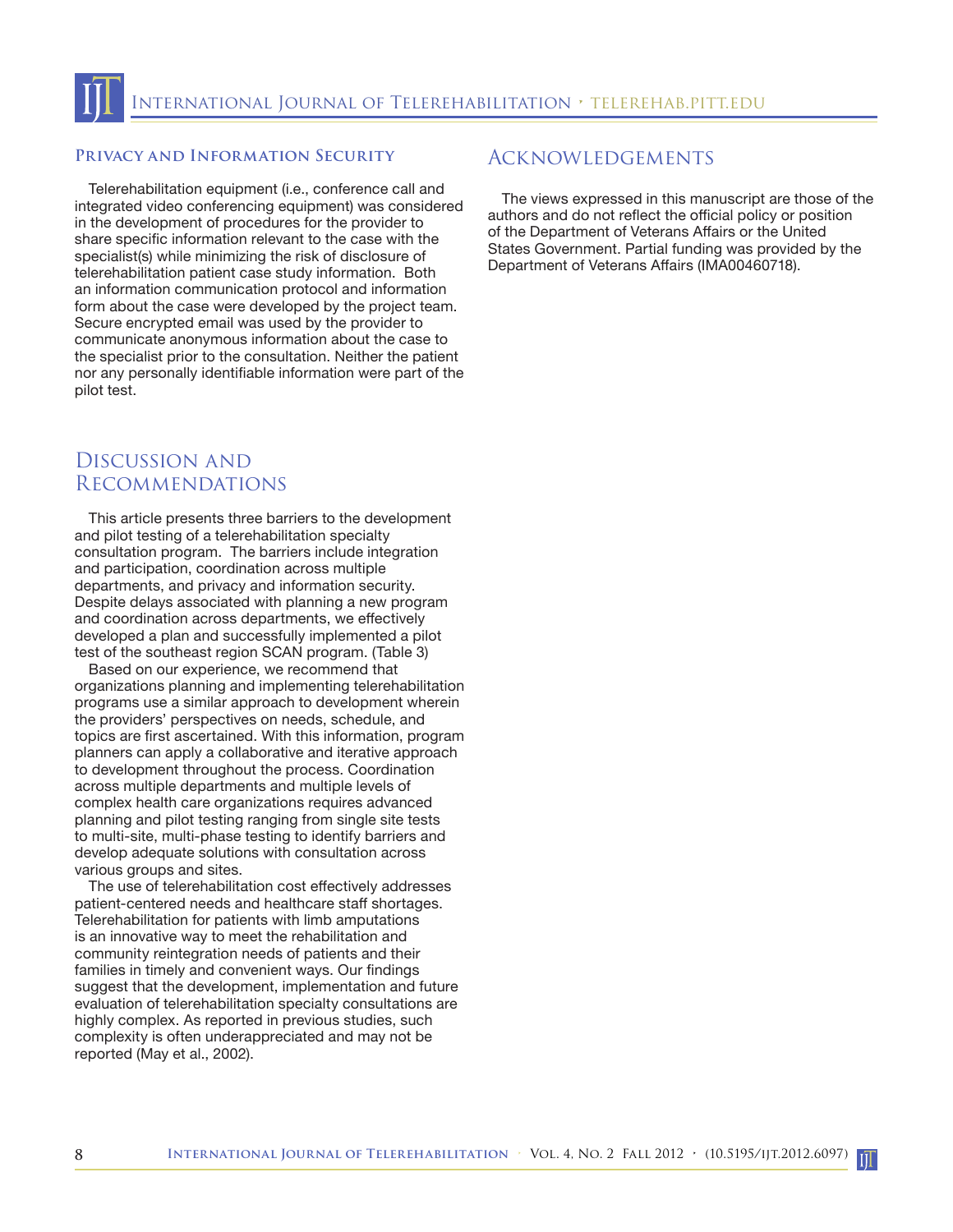#### **Privacy and Information Security**

Telerehabilitation equipment (i.e., conference call and integrated video conferencing equipment) was considered in the development of procedures for the provider to share specific information relevant to the case with the specialist(s) while minimizing the risk of disclosure of telerehabilitation patient case study information. Both an information communication protocol and information form about the case were developed by the project team. Secure encrypted email was used by the provider to communicate anonymous information about the case to the specialist prior to the consultation. Neither the patient nor any personally identifiable information were part of the pilot test.

# Discussion and Recommendations

This article presents three barriers to the development and pilot testing of a telerehabilitation specialty consultation program. The barriers include integration and participation, coordination across multiple departments, and privacy and information security. Despite delays associated with planning a new program and coordination across departments, we effectively developed a plan and successfully implemented a pilot test of the southeast region SCAN program. (Table 3)

Based on our experience, we recommend that organizations planning and implementing telerehabilitation programs use a similar approach to development wherein the providers' perspectives on needs, schedule, and topics are first ascertained. With this information, program planners can apply a collaborative and iterative approach to development throughout the process. Coordination across multiple departments and multiple levels of complex health care organizations requires advanced planning and pilot testing ranging from single site tests to multi-site, multi-phase testing to identify barriers and develop adequate solutions with consultation across various groups and sites.

The use of telerehabilitation cost effectively addresses patient-centered needs and healthcare staff shortages. Telerehabilitation for patients with limb amputations is an innovative way to meet the rehabilitation and community reintegration needs of patients and their families in timely and convenient ways. Our findings suggest that the development, implementation and future evaluation of telerehabilitation specialty consultations are highly complex. As reported in previous studies, such complexity is often underappreciated and may not be reported (May et al., 2002).

## Acknowledgements

The views expressed in this manuscript are those of the authors and do not reflect the official policy or position of the Department of Veterans Affairs or the United States Government. Partial funding was provided by the Department of Veterans Affairs (IMA00460718).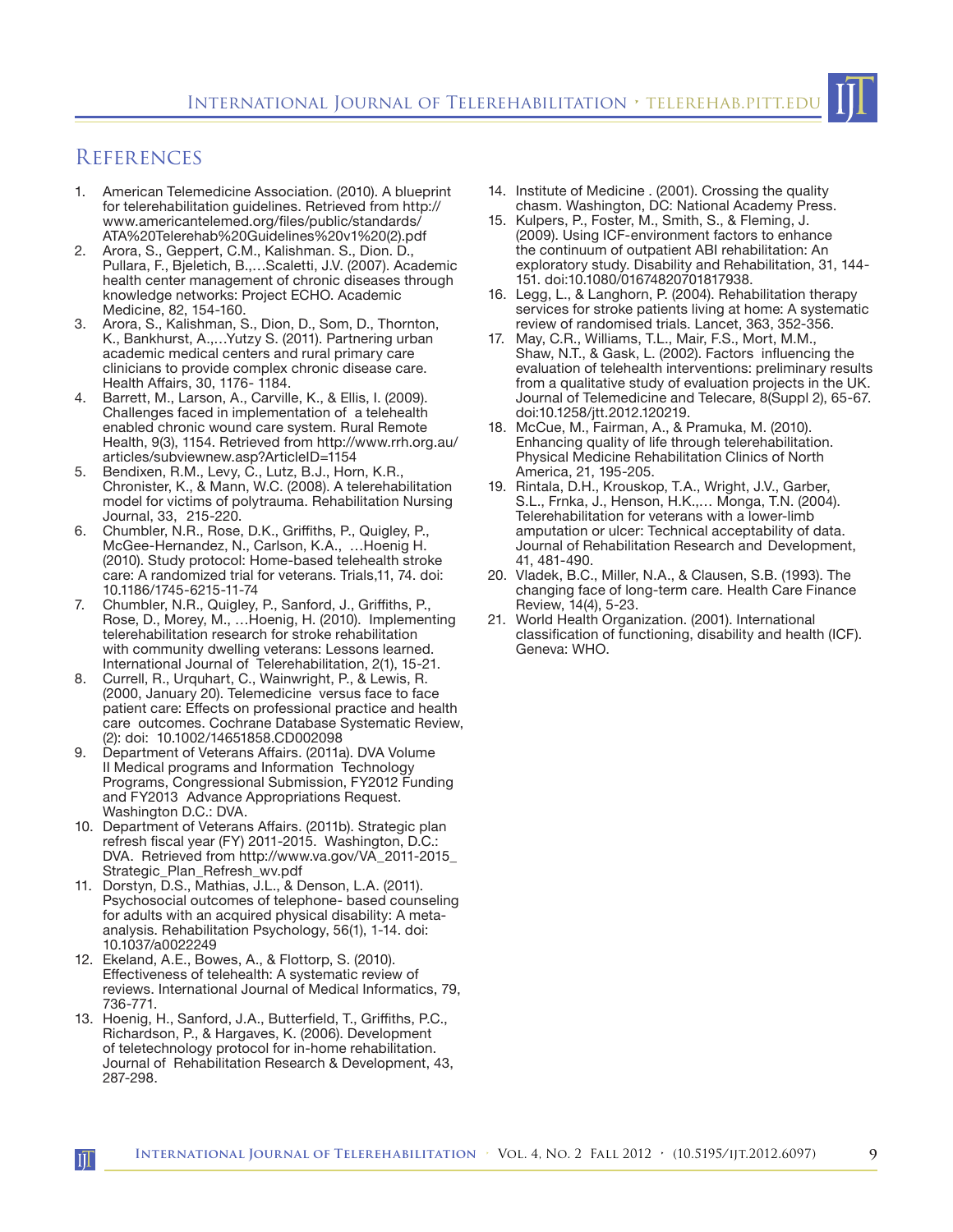

- 1. American Telemedicine Association. (2010). A blueprint for telerehabilitation guidelines. Retrieved from http:// www.americantelemed.org/files/public/standards/ ATA%20Telerehab%20Guidelines%20v1%20(2).pdf
- 2. Arora, S., Geppert, C.M., Kalishman. S., Dion. D., Pullara, F., Bjeletich, B.,…Scaletti, J.V. (2007). Academic health center management of chronic diseases through knowledge networks: Project ECHO. Academic Medicine, 82, 154-160.
- Arora, S., Kalishman, S., Dion, D., Som, D., Thornton, K., Bankhurst, A.,…Yutzy S. (2011). Partnering urban academic medical centers and rural primary care clinicians to provide complex chronic disease care. Health Affairs, 30, 1176- 1184.
- 4. Barrett, M., Larson, A., Carville, K., & Ellis, I. (2009). Challenges faced in implementation of a telehealth enabled chronic wound care system. Rural Remote Health, 9(3), 1154. Retrieved from http://www.rrh.org.au/ articles/subviewnew.asp?ArticleID=1154
- 5. Bendixen, R.M., Levy, C., Lutz, B.J., Horn, K.R., Chronister, K., & Mann, W.C. (2008). A telerehabilitation model for victims of polytrauma. Rehabilitation Nursing Journal, 33, 215-220.
- 6. Chumbler, N.R., Rose, D.K., Griffiths, P., Quigley, P., McGee-Hernandez, N., Carlson, K.A., …Hoenig H. (2010). Study protocol: Home-based telehealth stroke care: A randomized trial for veterans. Trials,11, 74. doi: 10.1186/1745-6215-11-74
- 7. Chumbler, N.R., Quigley, P., Sanford, J., Griffiths, P., Rose, D., Morey, M., …Hoenig, H. (2010). Implementing telerehabilitation research for stroke rehabilitation with community dwelling veterans: Lessons learned. International Journal of Telerehabilitation, 2(1), 15-21.
- 8. Currell, R., Urquhart, C., Wainwright, P., & Lewis, R. (2000, January 20). Telemedicine versus face to face patient care: Effects on professional practice and health care outcomes. Cochrane Database Systematic Review, (2): doi: 10.1002/14651858.CD002098
- 9. Department of Veterans Affairs. (2011a). DVA Volume II Medical programs and Information Technology Programs, Congressional Submission, FY2012 Funding and FY2013 Advance Appropriations Request. Washington D.C.: DVA.
- 10. Department of Veterans Affairs. (2011b). Strategic plan refresh fiscal year (FY) 2011-2015. Washington, D.C.: DVA. Retrieved from http://www.va.gov/VA\_2011-2015\_ Strategic\_Plan\_Refresh\_wv.pdf
- 11. Dorstyn, D.S., Mathias, J.L., & Denson, L.A. (2011). Psychosocial outcomes of telephone- based counseling for adults with an acquired physical disability: A metaanalysis. Rehabilitation Psychology, 56(1), 1-14. doi: 10.1037/a0022249
- 12. Ekeland, A.E., Bowes, A., & Flottorp, S. (2010). Effectiveness of telehealth: A systematic review of reviews. International Journal of Medical Informatics, 79, 736-771.
- 13. Hoenig, H., Sanford, J.A., Butterfield, T., Griffiths, P.C., Richardson, P., & Hargaves, K. (2006). Development of teletechnology protocol for in-home rehabilitation. Journal of Rehabilitation Research & Development, 43, 287-298.

Ш

- 14. Institute of Medicine . (2001). Crossing the quality chasm. Washington, DC: National Academy Press.
- 15. Kulpers, P., Foster, M., Smith, S., & Fleming, J. (2009). Using ICF-environment factors to enhance the continuum of outpatient ABI rehabilitation: An exploratory study. Disability and Rehabilitation, 31, 144- 151. doi:10.1080/01674820701817938.
- 16. Legg, L., & Langhorn, P. (2004). Rehabilitation therapy services for stroke patients living at home: A systematic review of randomised trials. Lancet, 363, 352-356.
- 17. May, C.R., Williams, T.L., Mair, F.S., Mort, M.M., Shaw, N.T., & Gask, L. (2002). Factors influencing the evaluation of telehealth interventions: preliminary results from a qualitative study of evaluation projects in the UK. Journal of Telemedicine and Telecare, 8(Suppl 2), 65-67. doi:10.1258/jtt.2012.120219.
- 18. McCue, M., Fairman, A., & Pramuka, M. (2010). Enhancing quality of life through telerehabilitation. Physical Medicine Rehabilitation Clinics of North America, 21, 195-205.
- 19. Rintala, D.H., Krouskop, T.A., Wright, J.V., Garber, S.L., Frnka, J., Henson, H.K.,… Monga, T.N. (2004). Telerehabilitation for veterans with a lower-limb amputation or ulcer: Technical acceptability of data. Journal of Rehabilitation Research and Development, 41, 481-490.
- 20. Vladek, B.C., Miller, N.A., & Clausen, S.B. (1993). The changing face of long-term care. Health Care Finance Review, 14(4), 5-23.
- 21. World Health Organization. (2001). International classification of functioning, disability and health (ICF). Geneva: WHO.